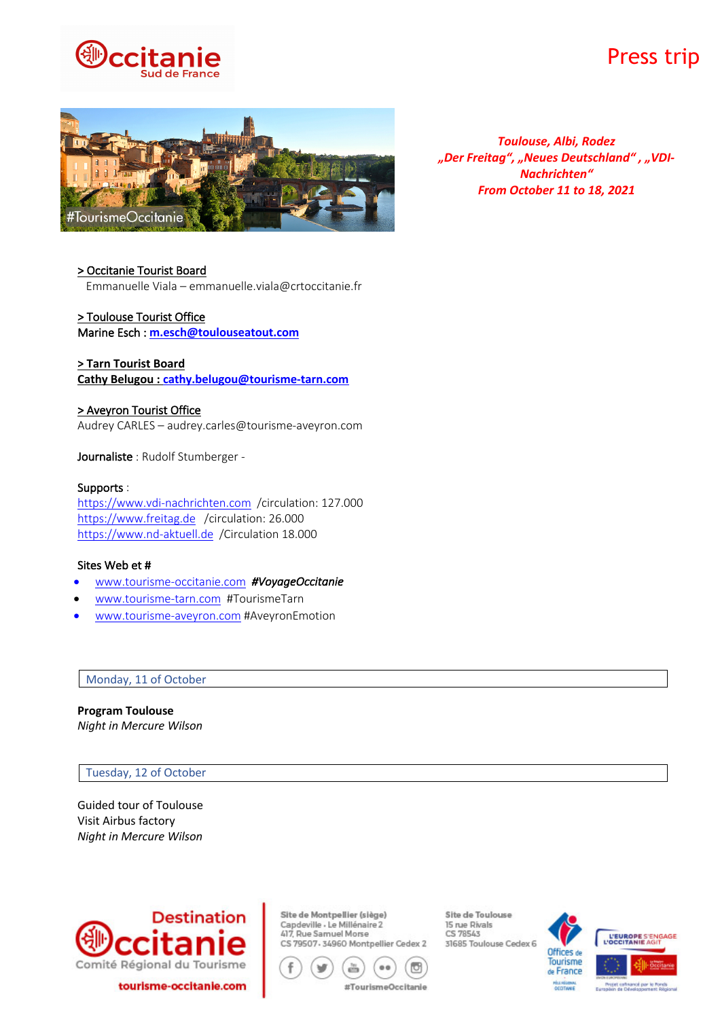

# Press trip



*Toulouse, Albi, Rodez "Der Freitag", "Neues Deutschland" , "VDI-Nachrichten" From October 11 to 18, 2021*

# > Occitanie Tourist Board

Emmanuelle Viala – emmanuelle.viala@crtoccitanie.fr

# > Toulouse Tourist Office

Marine Esch : **m.esch@toulouseatout.com**

# **> Tarn Tourist Board**

**Cathy Belugou : cathy.belugou@tourisme-tarn.com**

## > Aveyron Tourist Office

Audrey CARLES – audrey.carles@tourisme-aveyron.com

Journaliste : Rudolf Stumberger -

# Supports :

https://www.vdi-nachrichten.com /circulation: 127.000 https://www.freitag.de /circulation: 26.000 https://www.nd-aktuell.de /Circulation 18.000

#### Sites Web et #

- www.tourisme-occitanie.com *#VoyageOccitanie*
- www.tourisme-tarn.com #TourismeTarn
- www.tourisme-aveyron.com #AveyronEmotion

#### Monday, 11 of October

**Program Toulouse**  *Night in Mercure Wilson*

#### Tuesday, 12 of October

Guided tour of Toulouse Visit Airbus factory *Night in Mercure Wilson*



Site de Montpellier (siège) Capdeville - Le Millénaire 2 417, Rue Samuel Morse CS 79507-34960 Montpellier Cedex 2



Site de Toulouse 15 rue Rivals CS 78543 31685 Toulouse Cedex 6

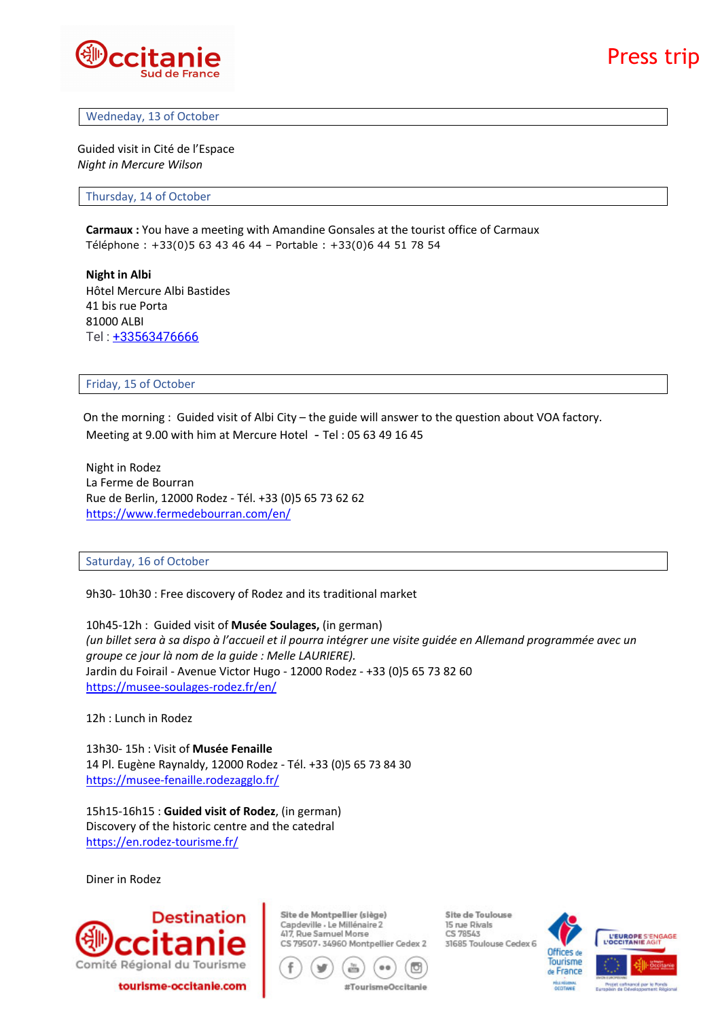

#### Wedneday, 13 of October

Guided visit in Cité de l'Espace *Night in Mercure Wilson*

Thursday, 14 of October

**Carmaux :** You have a meeting with Amandine Gonsales at the tourist office of Carmaux Téléphone : +33(0)5 63 43 46 44 – Portable : +33(0)6 44 51 78 54

**Night in Albi** Hôtel Mercure Albi Bastides 41 bis rue Porta 81000 ALBI Tel: +33563476666

#### Friday, 15 of October

 On the morning : Guided visit of Albi City – the guide will answer to the question about VOA factory. Meeting at 9.00 with him at Mercure Hotel - Tel : 05 63 49 16 45

Night in Rodez La Ferme de Bourran Rue de Berlin, 12000 Rodez - Tél. +33 (0)5 65 73 62 62 https://www.fermedebourran.com/en/

#### Saturday, 16 of October

9h30- 10h30 : Free discovery of Rodez and its traditional market

10h45-12h : Guided visit of **Musée Soulages,** (in german) *(un billet sera à sa dispo à l'accueil et il pourra intégrer une visite guidée en Allemand programmée avec un groupe ce jour là nom de la guide : Melle LAURIERE).* Jardin du Foirail - Avenue Victor Hugo - 12000 Rodez - +33 (0)5 65 73 82 60 https://musee-soulages-rodez.fr/en/

12h : Lunch in Rodez

13h30- 15h : Visit of **Musée Fenaille** 14 Pl. Eugène Raynaldy, 12000 Rodez - Tél. +33 (0)5 65 73 84 30 https://musee-fenaille.rodezagglo.fr/

15h15-16h15 : **Guided visit of Rodez**, (in german) Discovery of the historic centre and the catedral https://en.rodez-tourisme.fr/

Diner in Rodez



Site de Montpellier (siège) Capdeville - Le Millénaire 2 417, Rue Samuel Morse CS 79507-34960 Montpellier Cedex 2



Site de Toulouse 15 rue Rivals CS 78543 31685 Toulouse Cedex 6